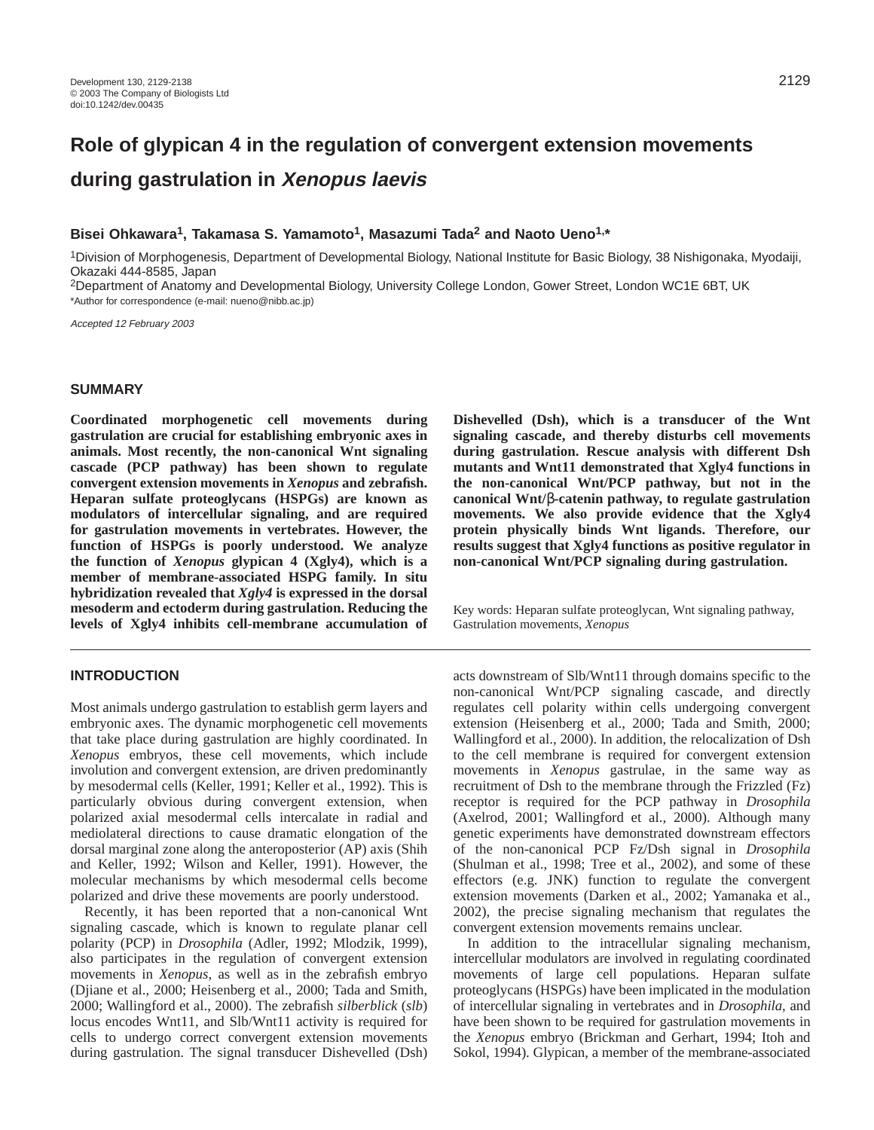# **Role of glypican 4 in the regulation of convergent extension movements during gastrulation in Xenopus laevis**

# **Bisei Ohkawara1, Takamasa S. Yamamoto1, Masazumi Tada2 and Naoto Ueno1,\***

1Division of Morphogenesis, Department of Developmental Biology, National Institute for Basic Biology, 38 Nishigonaka, Myodaiji, Okazaki 444-8585, Japan

2Department of Anatomy and Developmental Biology, University College London, Gower Street, London WC1E 6BT, UK \*Author for correspondence (e-mail: nueno@nibb.ac.jp)

Accepted 12 February 2003

# **SUMMARY**

**Coordinated morphogenetic cell movements during gastrulation are crucial for establishing embryonic axes in animals. Most recently, the non-canonical Wnt signaling cascade (PCP pathway) has been shown to regulate convergent extension movements in** *Xenopus* **and zebrafish. Heparan sulfate proteoglycans (HSPGs) are known as modulators of intercellular signaling, and are required for gastrulation movements in vertebrates. However, the function of HSPGs is poorly understood. We analyze the function of** *Xenopus* **glypican 4 (Xgly4), which is a member of membrane-associated HSPG family. In situ hybridization revealed that** *Xgly4* **is expressed in the dorsal mesoderm and ectoderm during gastrulation. Reducing the levels of Xgly4 inhibits cell-membrane accumulation of**

# **INTRODUCTION**

Most animals undergo gastrulation to establish germ layers and embryonic axes. The dynamic morphogenetic cell movements that take place during gastrulation are highly coordinated. In *Xenopus* embryos, these cell movements, which include involution and convergent extension, are driven predominantly by mesodermal cells (Keller, 1991; Keller et al., 1992). This is particularly obvious during convergent extension, when polarized axial mesodermal cells intercalate in radial and mediolateral directions to cause dramatic elongation of the dorsal marginal zone along the anteroposterior (AP) axis (Shih and Keller, 1992; Wilson and Keller, 1991). However, the molecular mechanisms by which mesodermal cells become polarized and drive these movements are poorly understood.

Recently, it has been reported that a non-canonical Wnt signaling cascade, which is known to regulate planar cell polarity (PCP) in *Drosophila* (Adler, 1992; Mlodzik, 1999), also participates in the regulation of convergent extension movements in *Xenopus*, as well as in the zebrafish embryo (Djiane et al., 2000; Heisenberg et al., 2000; Tada and Smith, 2000; Wallingford et al., 2000). The zebrafish *silberblick* (*slb*) locus encodes Wnt11, and Slb/Wnt11 activity is required for cells to undergo correct convergent extension movements during gastrulation. The signal transducer Dishevelled (Dsh)

**Dishevelled (Dsh), which is a transducer of the Wnt signaling cascade, and thereby disturbs cell movements during gastrulation. Rescue analysis with different Dsh mutants and Wnt11 demonstrated that Xgly4 functions in the non-canonical Wnt/PCP pathway, but not in the canonical Wnt/**β**-catenin pathway, to regulate gastrulation movements. We also provide evidence that the Xgly4 protein physically binds Wnt ligands. Therefore, our results suggest that Xgly4 functions as positive regulator in non-canonical Wnt/PCP signaling during gastrulation.**

Key words: Heparan sulfate proteoglycan, Wnt signaling pathway, Gastrulation movements, *Xenopus*

acts downstream of Slb/Wnt11 through domains specific to the non-canonical Wnt/PCP signaling cascade, and directly regulates cell polarity within cells undergoing convergent extension (Heisenberg et al., 2000; Tada and Smith, 2000; Wallingford et al., 2000). In addition, the relocalization of Dsh to the cell membrane is required for convergent extension movements in *Xenopus* gastrulae, in the same way as recruitment of Dsh to the membrane through the Frizzled (Fz) receptor is required for the PCP pathway in *Drosophila* (Axelrod, 2001; Wallingford et al., 2000). Although many genetic experiments have demonstrated downstream effectors of the non-canonical PCP Fz/Dsh signal in *Drosophila* (Shulman et al., 1998; Tree et al., 2002), and some of these effectors (e.g. JNK) function to regulate the convergent extension movements (Darken et al., 2002; Yamanaka et al., 2002), the precise signaling mechanism that regulates the convergent extension movements remains unclear.

In addition to the intracellular signaling mechanism, intercellular modulators are involved in regulating coordinated movements of large cell populations. Heparan sulfate proteoglycans (HSPGs) have been implicated in the modulation of intercellular signaling in vertebrates and in *Drosophila*, and have been shown to be required for gastrulation movements in the *Xenopus* embryo (Brickman and Gerhart, 1994; Itoh and Sokol, 1994). Glypican, a member of the membrane-associated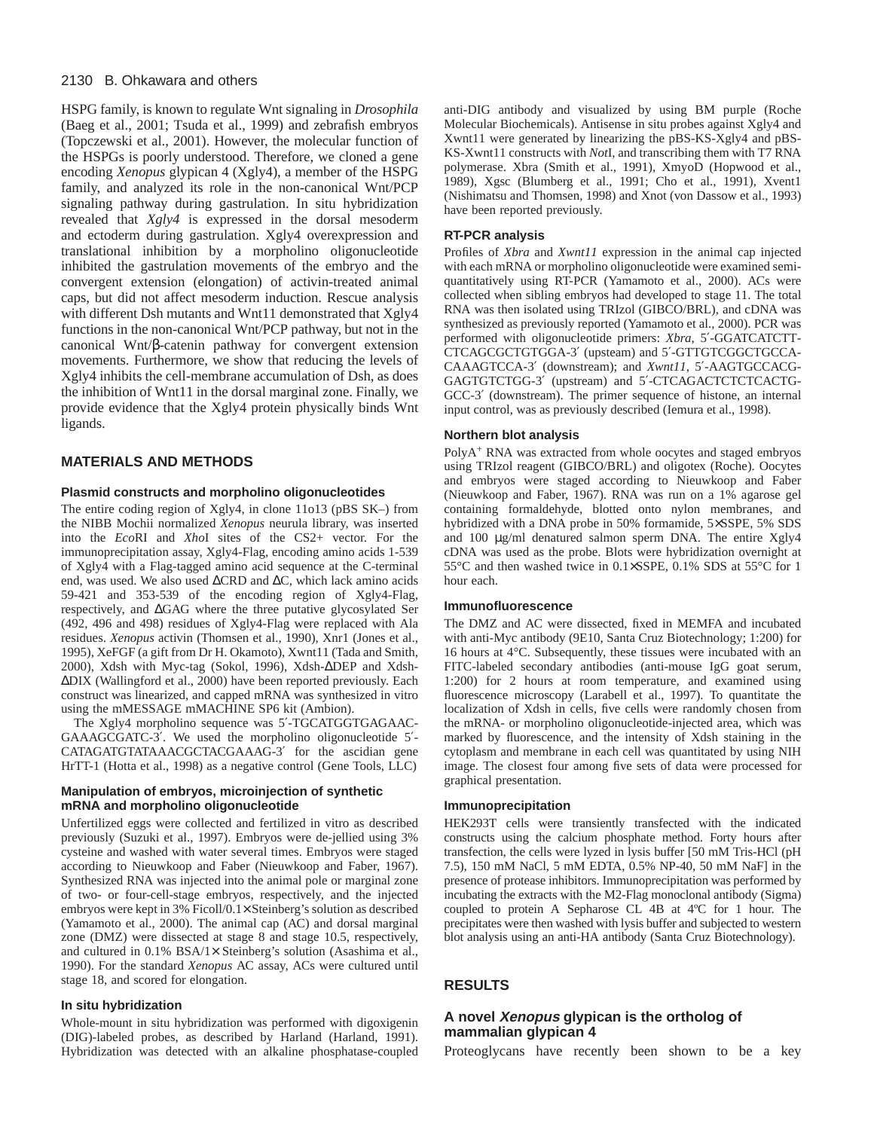HSPG family, is known to regulate Wnt signaling in *Drosophila* (Baeg et al., 2001; Tsuda et al., 1999) and zebrafish embryos (Topczewski et al., 2001). However, the molecular function of the HSPGs is poorly understood. Therefore, we cloned a gene encoding *Xenopus* glypican 4 (Xgly4), a member of the HSPG family, and analyzed its role in the non-canonical Wnt/PCP signaling pathway during gastrulation. In situ hybridization revealed that *Xgly4* is expressed in the dorsal mesoderm and ectoderm during gastrulation. Xgly4 overexpression and translational inhibition by a morpholino oligonucleotide inhibited the gastrulation movements of the embryo and the convergent extension (elongation) of activin-treated animal caps, but did not affect mesoderm induction. Rescue analysis with different Dsh mutants and Wnt11 demonstrated that Xgly4 functions in the non-canonical Wnt/PCP pathway, but not in the canonical Wnt/β-catenin pathway for convergent extension movements. Furthermore, we show that reducing the levels of Xgly4 inhibits the cell-membrane accumulation of Dsh, as does the inhibition of Wnt11 in the dorsal marginal zone. Finally, we provide evidence that the Xgly4 protein physically binds Wnt ligands.

# **MATERIALS AND METHODS**

# **Plasmid constructs and morpholino oligonucleotides**

The entire coding region of Xgly4, in clone 11o13 (pBS SK–) from the NIBB Mochii normalized *Xenopus* neurula library, was inserted into the *Eco*RI and *Xho*I sites of the CS2+ vector. For the immunoprecipitation assay, Xgly4-Flag, encoding amino acids 1-539 of Xgly4 with a Flag-tagged amino acid sequence at the C-terminal end, was used. We also used ∆CRD and ∆C, which lack amino acids 59-421 and 353-539 of the encoding region of Xgly4-Flag, respectively, and ∆GAG where the three putative glycosylated Ser (492, 496 and 498) residues of Xgly4-Flag were replaced with Ala residues. *Xenopus* activin (Thomsen et al., 1990), Xnr1 (Jones et al., 1995), XeFGF (a gift from Dr H. Okamoto), Xwnt11 (Tada and Smith, 2000), Xdsh with Myc-tag (Sokol, 1996), Xdsh-∆DEP and Xdsh- ∆DIX (Wallingford et al., 2000) have been reported previously. Each construct was linearized, and capped mRNA was synthesized in vitro using the mMESSAGE mMACHINE SP6 kit (Ambion).

The Xgly4 morpholino sequence was 5′-TGCATGGTGAGAAC-GAAAGCGATC-3′. We used the morpholino oligonucleotide 5′- CATAGATGTATAAACGCTACGAAAG-3′ for the ascidian gene HrTT-1 (Hotta et al., 1998) as a negative control (Gene Tools, LLC)

#### **Manipulation of embryos, microinjection of synthetic mRNA and morpholino oligonucleotide**

Unfertilized eggs were collected and fertilized in vitro as described previously (Suzuki et al., 1997). Embryos were de-jellied using 3% cysteine and washed with water several times. Embryos were staged according to Nieuwkoop and Faber (Nieuwkoop and Faber, 1967). Synthesized RNA was injected into the animal pole or marginal zone of two- or four-cell-stage embryos, respectively, and the injected embryos were kept in 3% Ficoll/0.1× Steinberg's solution as described (Yamamoto et al., 2000). The animal cap (AC) and dorsal marginal zone (DMZ) were dissected at stage 8 and stage 10.5, respectively, and cultured in 0.1% BSA/1× Steinberg's solution (Asashima et al., 1990). For the standard *Xenopus* AC assay, ACs were cultured until stage 18, and scored for elongation.

#### **In situ hybridization**

Whole-mount in situ hybridization was performed with digoxigenin (DIG)-labeled probes, as described by Harland (Harland, 1991). Hybridization was detected with an alkaline phosphatase-coupled

anti-DIG antibody and visualized by using BM purple (Roche Molecular Biochemicals). Antisense in situ probes against Xgly4 and Xwnt11 were generated by linearizing the pBS-KS-Xgly4 and pBS-KS-Xwnt11 constructs with *Not*I, and transcribing them with T7 RNA polymerase. Xbra (Smith et al., 1991), XmyoD (Hopwood et al., 1989), Xgsc (Blumberg et al., 1991; Cho et al., 1991), Xvent1 (Nishimatsu and Thomsen, 1998) and Xnot (von Dassow et al., 1993) have been reported previously.

# **RT-PCR analysis**

Profiles of *Xbra* and *Xwnt11* expression in the animal cap injected with each mRNA or morpholino oligonucleotide were examined semiquantitatively using RT-PCR (Yamamoto et al., 2000). ACs were collected when sibling embryos had developed to stage 11. The total RNA was then isolated using TRIzol (GIBCO/BRL), and cDNA was synthesized as previously reported (Yamamoto et al., 2000). PCR was performed with oligonucleotide primers: *Xbra*, 5′-GGATCATCTT-CTCAGCGCTGTGGA-3′ (upsteam) and 5′-GTTGTCGGCTGCCA-CAAAGTCCA-3′ (downstream); and *Xwnt11*, 5′-AAGTGCCACG-GAGTGTCTGG-3′ (upstream) and 5′-CTCAGACTCTCTCACTG-GCC-3′ (downstream). The primer sequence of histone, an internal input control, was as previously described (Iemura et al., 1998).

#### **Northern blot analysis**

PolyA<sup>+</sup> RNA was extracted from whole oocytes and staged embryos using TRIzol reagent (GIBCO/BRL) and oligotex (Roche). Oocytes and embryos were staged according to Nieuwkoop and Faber (Nieuwkoop and Faber, 1967). RNA was run on a 1% agarose gel containing formaldehyde, blotted onto nylon membranes, and hybridized with a DNA probe in 50% formamide, 5×SSPE, 5% SDS and 100  $\mu$ g/ml denatured salmon sperm DNA. The entire Xgly4 cDNA was used as the probe. Blots were hybridization overnight at 55°C and then washed twice in 0.1×SSPE, 0.1% SDS at 55°C for 1 hour each.

#### **Immunofluorescence**

The DMZ and AC were dissected, fixed in MEMFA and incubated with anti-Myc antibody (9E10, Santa Cruz Biotechnology; 1:200) for 16 hours at 4°C. Subsequently, these tissues were incubated with an FITC-labeled secondary antibodies (anti-mouse IgG goat serum, 1:200) for 2 hours at room temperature, and examined using fluorescence microscopy (Larabell et al., 1997). To quantitate the localization of Xdsh in cells, five cells were randomly chosen from the mRNA- or morpholino oligonucleotide-injected area, which was marked by fluorescence, and the intensity of Xdsh staining in the cytoplasm and membrane in each cell was quantitated by using NIH image. The closest four among five sets of data were processed for graphical presentation.

#### **Immunoprecipitation**

HEK293T cells were transiently transfected with the indicated constructs using the calcium phosphate method. Forty hours after transfection, the cells were lyzed in lysis buffer [50 mM Tris-HCl (pH 7.5), 150 mM NaCl, 5 mM EDTA, 0.5% NP-40, 50 mM NaF] in the presence of protease inhibitors. Immunoprecipitation was performed by incubating the extracts with the M2-Flag monoclonal antibody (Sigma) coupled to protein A Sepharose CL 4B at 4ºC for 1 hour. The precipitates were then washed with lysis buffer and subjected to western blot analysis using an anti-HA antibody (Santa Cruz Biotechnology).

# **RESULTS**

# **A novel Xenopus glypican is the ortholog of mammalian glypican 4**

Proteoglycans have recently been shown to be a key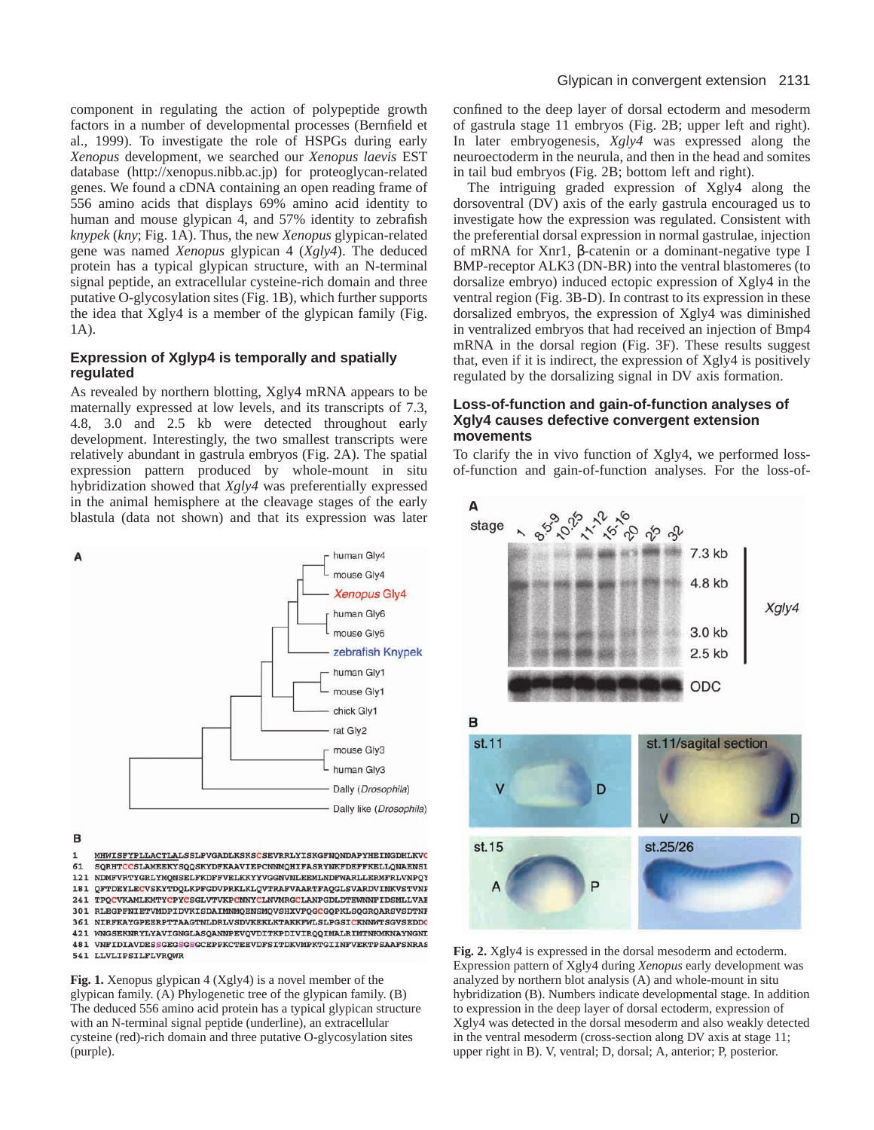component in regulating the action of polypeptide growth factors in a number of developmental processes (Bernfield et al., 1999). To investigate the role of HSPGs during early *Xenopus* development, we searched our *Xenopus laevis* EST database (http://xenopus.nibb.ac.jp) for proteoglycan-related genes. We found a cDNA containing an open reading frame of 556 amino acids that displays 69% amino acid identity to human and mouse glypican 4, and 57% identity to zebrafish *knypek* (*kny*; Fig. 1A). Thus, the new *Xenopus* glypican-related gene was named *Xenopus* glypican 4 (*Xgly4*). The deduced protein has a typical glypican structure, with an N-terminal signal peptide, an extracellular cysteine-rich domain and three putative O-glycosylation sites (Fig. 1B), which further supports the idea that Xgly4 is a member of the glypican family (Fig. 1A).

# **Expression of Xglyp4 is temporally and spatially regulated**

As revealed by northern blotting, Xgly4 mRNA appears to be maternally expressed at low levels, and its transcripts of 7.3, 4.8, 3.0 and 2.5 kb were detected throughout early development. Interestingly, the two smallest transcripts were relatively abundant in gastrula embryos (Fig. 2A). The spatial expression pattern produced by whole-mount in situ hybridization showed that *Xgly4* was preferentially expressed in the animal hemisphere at the cleavage stages of the early blastula (data not shown) and that its expression was later



B

 $\mathbf{1}$ MHWISFYPLLACTLALSSLPVGADLKSKSCSEVRRLYISKGFNQNDAPYHEINGDHLKVC SQRHTCCSLAMEEKYSQQSKYDFKAAVIEPCNNMQHIFASRYNKFDEFFKELLQNAENSL 61 121 NDMFVRTYGRLYMQNSELFKDFFVELKKYYVGGNVNLEEMLNDFWARLLERMFRLVNPQY 181 QFTDEYLECVSKYTDQLKPFGDVPRKLKLQVTRAFVAARTFAQGLSVARDVINKVSTVNP 241 TPOCVKAMLKMTYCPYCSGLVTVKPCNNYCLNVMRGCLANPGDLDTEWNNFIDSMLLVAE 301 RLEGPFNIETVMDPIDVKISDAIMNMQENSMQVSHXVFQGCGQPKLSQGRQARSVSDTNF 361 NIRFKAYGPEERPTTAAGTNLDRLVSDVKEKLKTAKKFWLSLPGSICKNNWTSGVSEDDC 421 WNGSEKNRYLYAVIGNGLASQANNPEVQVDITKPDIVIRQQIMALRIMTNKMKNAYNGND 481 VNFIDIAVDESSGEGSGSGCEPPKCTEEVDFSITDKVMPKTGIINFVEKTPSAAFSNRAS 541 LLVLTPSTLFLVROWR

**Fig. 1.** Xenopus glypican 4 (Xgly4) is a novel member of the glypican family. (A) Phylogenetic tree of the glypican family. (B) The deduced 556 amino acid protein has a typical glypican structure with an N-terminal signal peptide (underline), an extracellular cysteine (red)-rich domain and three putative O-glycosylation sites (purple).

confined to the deep layer of dorsal ectoderm and mesoderm of gastrula stage 11 embryos (Fig. 2B; upper left and right). In later embryogenesis, *Xgly4* was expressed along the neuroectoderm in the neurula, and then in the head and somites in tail bud embryos (Fig. 2B; bottom left and right).

The intriguing graded expression of Xgly4 along the dorsoventral (DV) axis of the early gastrula encouraged us to investigate how the expression was regulated. Consistent with the preferential dorsal expression in normal gastrulae, injection of mRNA for Xnr1, β-catenin or a dominant-negative type I BMP-receptor ALK3 (DN-BR) into the ventral blastomeres (to dorsalize embryo) induced ectopic expression of Xgly4 in the ventral region (Fig. 3B-D). In contrast to its expression in these dorsalized embryos, the expression of Xgly4 was diminished in ventralized embryos that had received an injection of Bmp4 mRNA in the dorsal region (Fig. 3F). These results suggest that, even if it is indirect, the expression of Xgly4 is positively regulated by the dorsalizing signal in DV axis formation.

# **Loss-of-function and gain-of-function analyses of Xgly4 causes defective convergent extension movements**

To clarify the in vivo function of Xgly4, we performed lossof-function and gain-of-function analyses. For the loss-of-



**Fig. 2.** Xgly4 is expressed in the dorsal mesoderm and ectoderm. Expression pattern of Xgly4 during *Xenopus* early development was analyzed by northern blot analysis (A) and whole-mount in situ hybridization (B). Numbers indicate developmental stage. In addition to expression in the deep layer of dorsal ectoderm, expression of Xgly4 was detected in the dorsal mesoderm and also weakly detected in the ventral mesoderm (cross-section along DV axis at stage 11; upper right in B). V, ventral; D, dorsal; A, anterior; P, posterior.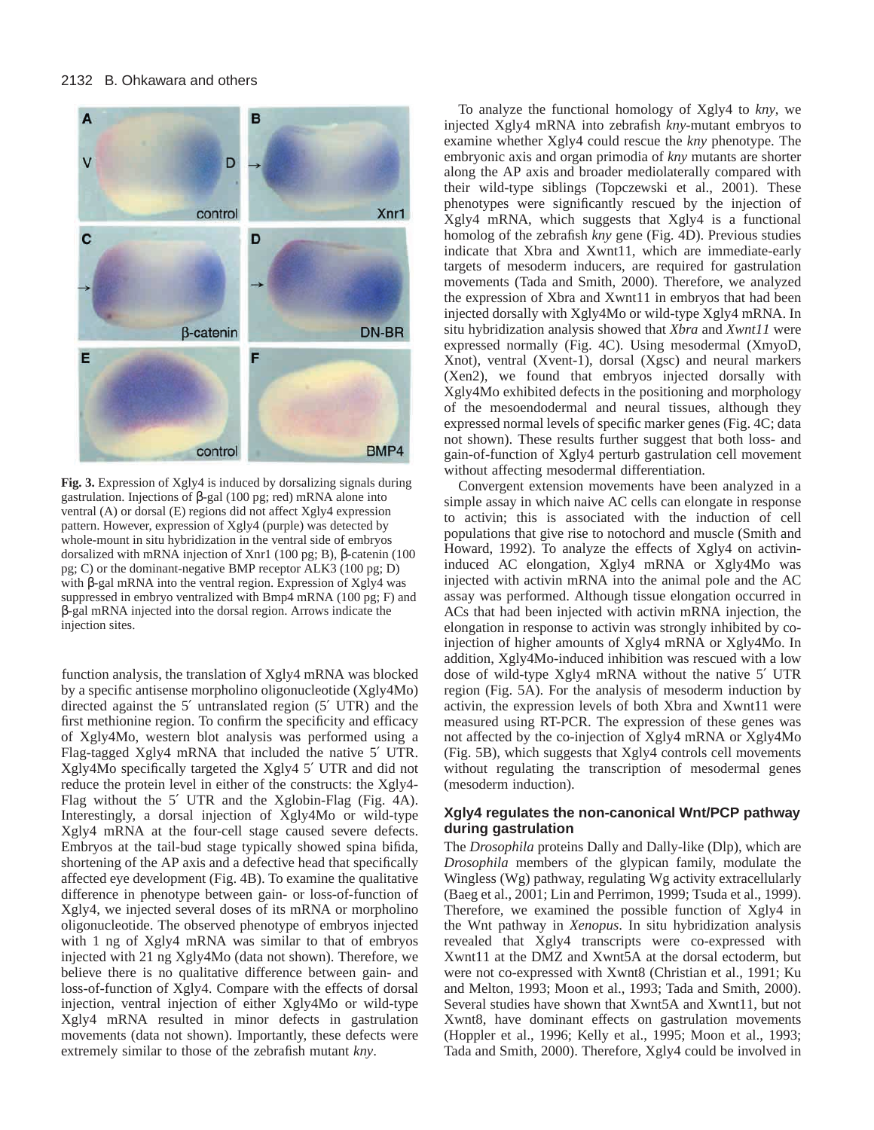

**Fig. 3.** Expression of Xgly4 is induced by dorsalizing signals during gastrulation. Injections of β-gal (100 pg; red) mRNA alone into ventral (A) or dorsal (E) regions did not affect Xgly4 expression pattern. However, expression of Xgly4 (purple) was detected by whole-mount in situ hybridization in the ventral side of embryos dorsalized with mRNA injection of Xnr1 (100 pg; B), β-catenin (100 pg; C) or the dominant-negative BMP receptor ALK3 (100 pg; D) with β-gal mRNA into the ventral region. Expression of Xgly4 was suppressed in embryo ventralized with Bmp4 mRNA (100 pg; F) and β-gal mRNA injected into the dorsal region. Arrows indicate the injection sites.

function analysis, the translation of Xgly4 mRNA was blocked by a specific antisense morpholino oligonucleotide (Xgly4Mo) directed against the 5′ untranslated region (5′ UTR) and the first methionine region. To confirm the specificity and efficacy of Xgly4Mo, western blot analysis was performed using a Flag-tagged Xgly4 mRNA that included the native 5′ UTR. Xgly4Mo specifically targeted the Xgly4 5′ UTR and did not reduce the protein level in either of the constructs: the Xgly4- Flag without the 5′ UTR and the Xglobin-Flag (Fig. 4A). Interestingly, a dorsal injection of Xgly4Mo or wild-type Xgly4 mRNA at the four-cell stage caused severe defects. Embryos at the tail-bud stage typically showed spina bifida, shortening of the AP axis and a defective head that specifically affected eye development (Fig. 4B). To examine the qualitative difference in phenotype between gain- or loss-of-function of Xgly4, we injected several doses of its mRNA or morpholino oligonucleotide. The observed phenotype of embryos injected with 1 ng of Xgly4 mRNA was similar to that of embryos injected with 21 ng Xgly4Mo (data not shown). Therefore, we believe there is no qualitative difference between gain- and loss-of-function of Xgly4. Compare with the effects of dorsal injection, ventral injection of either Xgly4Mo or wild-type Xgly4 mRNA resulted in minor defects in gastrulation movements (data not shown). Importantly, these defects were extremely similar to those of the zebrafish mutant *kny*.

To analyze the functional homology of Xgly4 to *kny*, we injected Xgly4 mRNA into zebrafish *kny*-mutant embryos to examine whether Xgly4 could rescue the *kny* phenotype. The embryonic axis and organ primodia of *kny* mutants are shorter along the AP axis and broader mediolaterally compared with their wild-type siblings (Topczewski et al., 2001). These phenotypes were significantly rescued by the injection of Xgly4 mRNA, which suggests that Xgly4 is a functional homolog of the zebrafish *kny* gene (Fig. 4D). Previous studies indicate that Xbra and Xwnt11, which are immediate-early targets of mesoderm inducers, are required for gastrulation movements (Tada and Smith, 2000). Therefore, we analyzed the expression of Xbra and Xwnt11 in embryos that had been injected dorsally with Xgly4Mo or wild-type Xgly4 mRNA. In situ hybridization analysis showed that *Xbra* and *Xwnt11* were expressed normally (Fig. 4C). Using mesodermal (XmyoD, Xnot), ventral (Xvent-1), dorsal (Xgsc) and neural markers (Xen2), we found that embryos injected dorsally with Xgly4Mo exhibited defects in the positioning and morphology of the mesoendodermal and neural tissues, although they expressed normal levels of specific marker genes (Fig. 4C; data not shown). These results further suggest that both loss- and gain-of-function of Xgly4 perturb gastrulation cell movement without affecting mesodermal differentiation.

Convergent extension movements have been analyzed in a simple assay in which naive AC cells can elongate in response to activin; this is associated with the induction of cell populations that give rise to notochord and muscle (Smith and Howard, 1992). To analyze the effects of Xgly4 on activininduced AC elongation, Xgly4 mRNA or Xgly4Mo was injected with activin mRNA into the animal pole and the AC assay was performed. Although tissue elongation occurred in ACs that had been injected with activin mRNA injection, the elongation in response to activin was strongly inhibited by coinjection of higher amounts of Xgly4 mRNA or Xgly4Mo. In addition, Xgly4Mo-induced inhibition was rescued with a low dose of wild-type Xgly4 mRNA without the native 5′ UTR region (Fig. 5A). For the analysis of mesoderm induction by activin, the expression levels of both Xbra and Xwnt11 were measured using RT-PCR. The expression of these genes was not affected by the co-injection of Xgly4 mRNA or Xgly4Mo (Fig. 5B), which suggests that Xgly4 controls cell movements without regulating the transcription of mesodermal genes (mesoderm induction).

# **Xgly4 regulates the non-canonical Wnt/PCP pathway during gastrulation**

The *Drosophila* proteins Dally and Dally-like (Dlp), which are *Drosophila* members of the glypican family, modulate the Wingless (Wg) pathway, regulating Wg activity extracellularly (Baeg et al., 2001; Lin and Perrimon, 1999; Tsuda et al., 1999). Therefore, we examined the possible function of Xgly4 in the Wnt pathway in *Xenopus*. In situ hybridization analysis revealed that Xgly4 transcripts were co-expressed with Xwnt11 at the DMZ and Xwnt5A at the dorsal ectoderm, but were not co-expressed with Xwnt8 (Christian et al., 1991; Ku and Melton, 1993; Moon et al., 1993; Tada and Smith, 2000). Several studies have shown that Xwnt5A and Xwnt11, but not Xwnt8, have dominant effects on gastrulation movements (Hoppler et al., 1996; Kelly et al., 1995; Moon et al., 1993; Tada and Smith, 2000). Therefore, Xgly4 could be involved in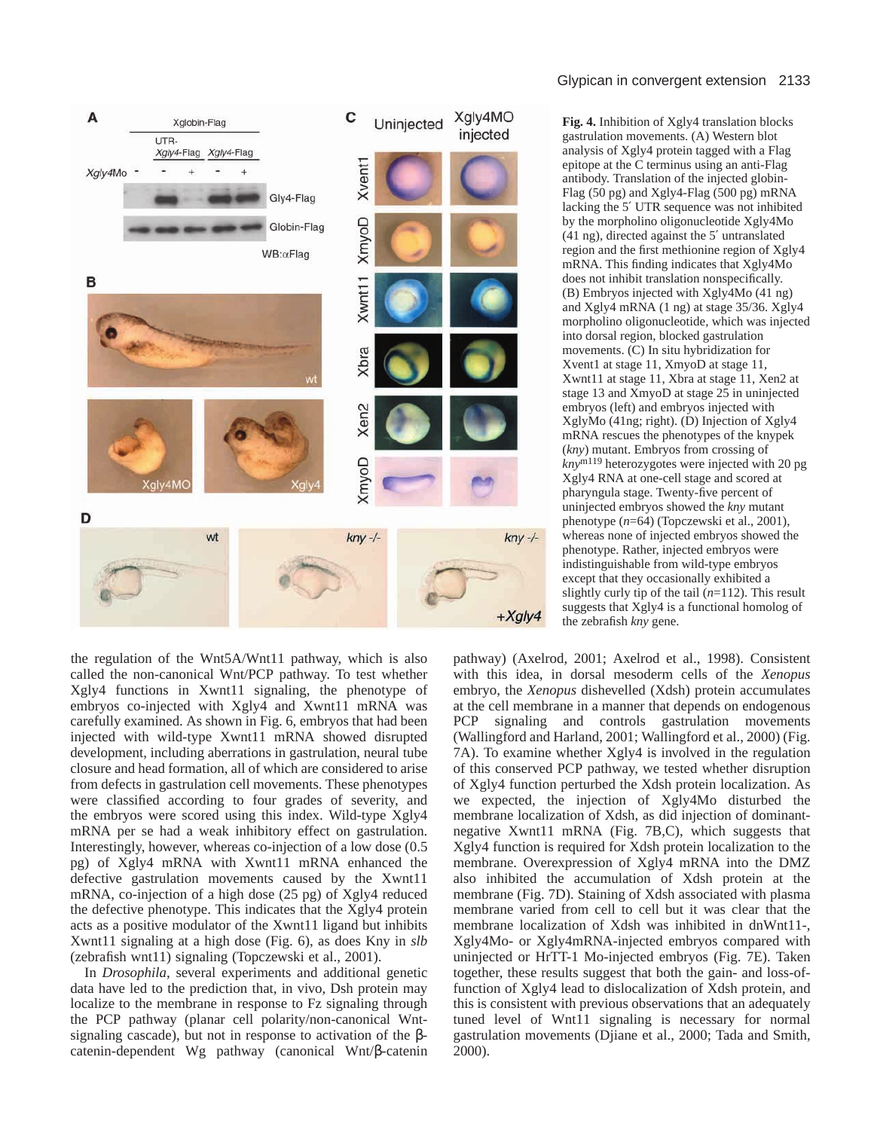

the regulation of the Wnt5A/Wnt11 pathway, which is also called the non-canonical Wnt/PCP pathway. To test whether Xgly4 functions in Xwnt11 signaling, the phenotype of embryos co-injected with Xgly4 and Xwnt11 mRNA was carefully examined. As shown in Fig. 6, embryos that had been injected with wild-type Xwnt11 mRNA showed disrupted development, including aberrations in gastrulation, neural tube closure and head formation, all of which are considered to arise from defects in gastrulation cell movements. These phenotypes were classified according to four grades of severity, and the embryos were scored using this index. Wild-type Xgly4 mRNA per se had a weak inhibitory effect on gastrulation. Interestingly, however, whereas co-injection of a low dose (0.5 pg) of Xgly4 mRNA with Xwnt11 mRNA enhanced the defective gastrulation movements caused by the Xwnt11 mRNA, co-injection of a high dose (25 pg) of Xgly4 reduced the defective phenotype. This indicates that the Xgly4 protein acts as a positive modulator of the Xwnt11 ligand but inhibits Xwnt11 signaling at a high dose (Fig. 6), as does Kny in *slb* (zebrafish wnt11) signaling (Topczewski et al., 2001).

In *Drosophila*, several experiments and additional genetic data have led to the prediction that, in vivo, Dsh protein may localize to the membrane in response to Fz signaling through the PCP pathway (planar cell polarity/non-canonical Wntsignaling cascade), but not in response to activation of the βcatenin-dependent Wg pathway (canonical Wnt/β-catenin

**Fig. 4.** Inhibition of Xgly4 translation blocks gastrulation movements. (A) Western blot analysis of Xgly4 protein tagged with a Flag epitope at the C terminus using an anti-Flag antibody. Translation of the injected globin-Flag (50 pg) and Xgly4-Flag (500 pg) mRNA lacking the 5′ UTR sequence was not inhibited by the morpholino oligonucleotide Xgly4Mo (41 ng), directed against the 5′ untranslated region and the first methionine region of Xgly4 mRNA. This finding indicates that Xgly4Mo does not inhibit translation nonspecifically. (B) Embryos injected with Xgly4Mo (41 ng) and Xgly4 mRNA (1 ng) at stage 35/36. Xgly4 morpholino oligonucleotide, which was injected into dorsal region, blocked gastrulation movements. (C) In situ hybridization for Xvent1 at stage 11, XmyoD at stage 11, Xwnt11 at stage 11, Xbra at stage 11, Xen2 at stage 13 and XmyoD at stage 25 in uninjected embryos (left) and embryos injected with XglyMo (41ng; right). (D) Injection of Xgly4 mRNA rescues the phenotypes of the knypek (*kny*) mutant. Embryos from crossing of *kny*m119 heterozygotes were injected with 20 pg Xgly4 RNA at one-cell stage and scored at pharyngula stage. Twenty-five percent of uninjected embryos showed the *kny* mutant phenotype (*n*=64) (Topczewski et al., 2001), whereas none of injected embryos showed the phenotype. Rather, injected embryos were indistinguishable from wild-type embryos except that they occasionally exhibited a slightly curly tip of the tail (*n*=112). This result suggests that Xgly4 is a functional homolog of the zebrafish *kny* gene.

pathway) (Axelrod, 2001; Axelrod et al., 1998). Consistent with this idea, in dorsal mesoderm cells of the *Xenopus* embryo, the *Xenopus* dishevelled (Xdsh) protein accumulates at the cell membrane in a manner that depends on endogenous PCP signaling and controls gastrulation movements (Wallingford and Harland, 2001; Wallingford et al., 2000) (Fig. 7A). To examine whether Xgly4 is involved in the regulation of this conserved PCP pathway, we tested whether disruption of Xgly4 function perturbed the Xdsh protein localization. As we expected, the injection of Xgly4Mo disturbed the membrane localization of Xdsh, as did injection of dominantnegative Xwnt11 mRNA (Fig. 7B,C), which suggests that Xgly4 function is required for Xdsh protein localization to the membrane. Overexpression of Xgly4 mRNA into the DMZ also inhibited the accumulation of Xdsh protein at the membrane (Fig. 7D). Staining of Xdsh associated with plasma membrane varied from cell to cell but it was clear that the membrane localization of Xdsh was inhibited in dnWnt11-, Xgly4Mo- or Xgly4mRNA-injected embryos compared with uninjected or HrTT-1 Mo-injected embryos (Fig. 7E). Taken together, these results suggest that both the gain- and loss-offunction of Xgly4 lead to dislocalization of Xdsh protein, and this is consistent with previous observations that an adequately tuned level of Wnt11 signaling is necessary for normal gastrulation movements (Djiane et al., 2000; Tada and Smith, 2000).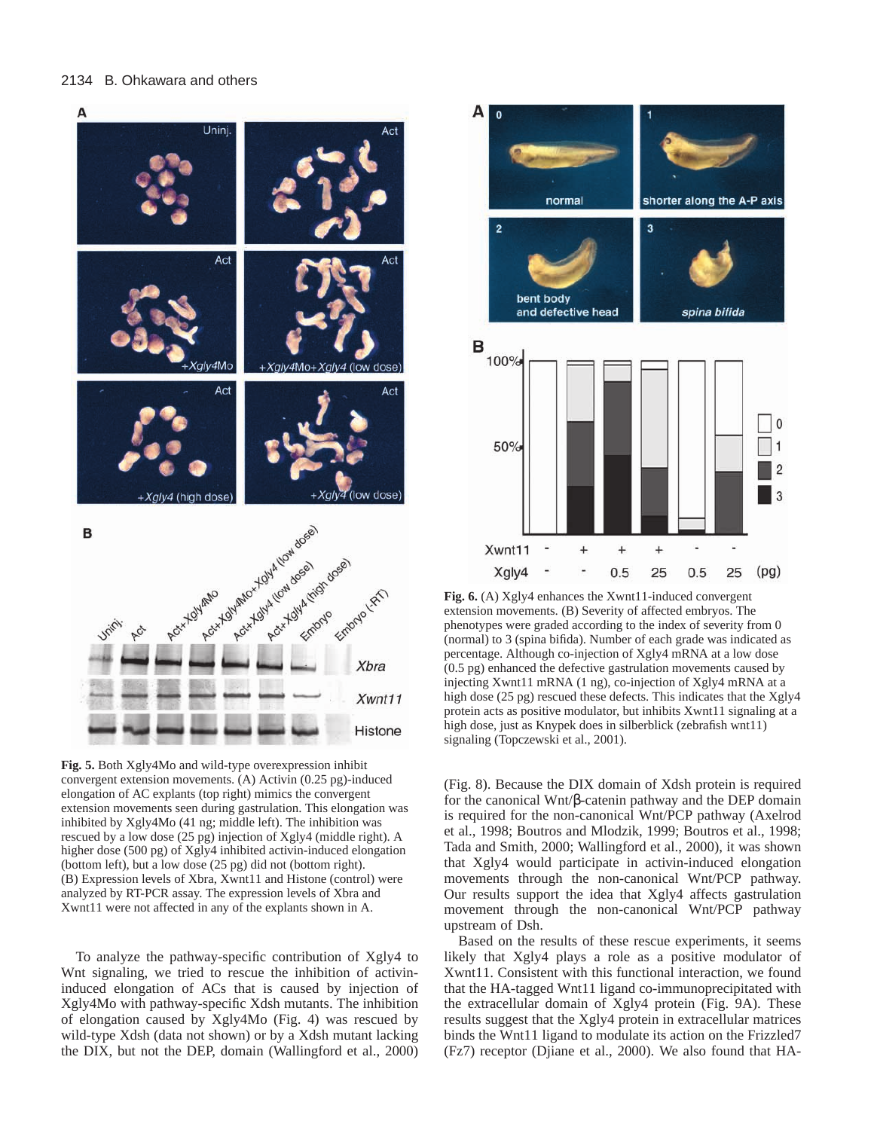

**Fig. 5.** Both Xgly4Mo and wild-type overexpression inhibit convergent extension movements. (A) Activin (0.25 pg)-induced elongation of AC explants (top right) mimics the convergent extension movements seen during gastrulation. This elongation was inhibited by Xgly4Mo (41 ng; middle left). The inhibition was rescued by a low dose (25 pg) injection of Xgly4 (middle right). A higher dose (500 pg) of Xgly4 inhibited activin-induced elongation (bottom left), but a low dose (25 pg) did not (bottom right). (B) Expression levels of Xbra, Xwnt11 and Histone (control) were analyzed by RT-PCR assay. The expression levels of Xbra and Xwnt11 were not affected in any of the explants shown in A.

To analyze the pathway-specific contribution of Xgly4 to Wnt signaling, we tried to rescue the inhibition of activininduced elongation of ACs that is caused by injection of Xgly4Mo with pathway-specific Xdsh mutants. The inhibition of elongation caused by Xgly4Mo (Fig. 4) was rescued by wild-type Xdsh (data not shown) or by a Xdsh mutant lacking the DIX, but not the DEP, domain (Wallingford et al., 2000)



Fig. 6. (A) Xgly4 enhances the Xwnt11-induced convergent extension movements. (B) Severity of affected embryos. The phenotypes were graded according to the index of severity from 0 (normal) to 3 (spina bifida). Number of each grade was indicated as percentage. Although co-injection of Xgly4 mRNA at a low dose (0.5 pg) enhanced the defective gastrulation movements caused by injecting Xwnt11 mRNA (1 ng), co-injection of Xgly4 mRNA at a high dose (25 pg) rescued these defects. This indicates that the Xgly4 protein acts as positive modulator, but inhibits Xwnt11 signaling at a high dose, just as Knypek does in silberblick (zebrafish wnt11) signaling (Topczewski et al., 2001).

(Fig. 8). Because the DIX domain of Xdsh protein is required for the canonical Wnt/β-catenin pathway and the DEP domain is required for the non-canonical Wnt/PCP pathway (Axelrod et al., 1998; Boutros and Mlodzik, 1999; Boutros et al., 1998; Tada and Smith, 2000; Wallingford et al., 2000), it was shown that Xgly4 would participate in activin-induced elongation movements through the non-canonical Wnt/PCP pathway. Our results support the idea that Xgly4 affects gastrulation movement through the non-canonical Wnt/PCP pathway upstream of Dsh.

Based on the results of these rescue experiments, it seems likely that Xgly4 plays a role as a positive modulator of Xwnt11. Consistent with this functional interaction, we found that the HA-tagged Wnt11 ligand co-immunoprecipitated with the extracellular domain of Xgly4 protein (Fig. 9A). These results suggest that the Xgly4 protein in extracellular matrices binds the Wnt11 ligand to modulate its action on the Frizzled7 (Fz7) receptor (Djiane et al., 2000). We also found that HA-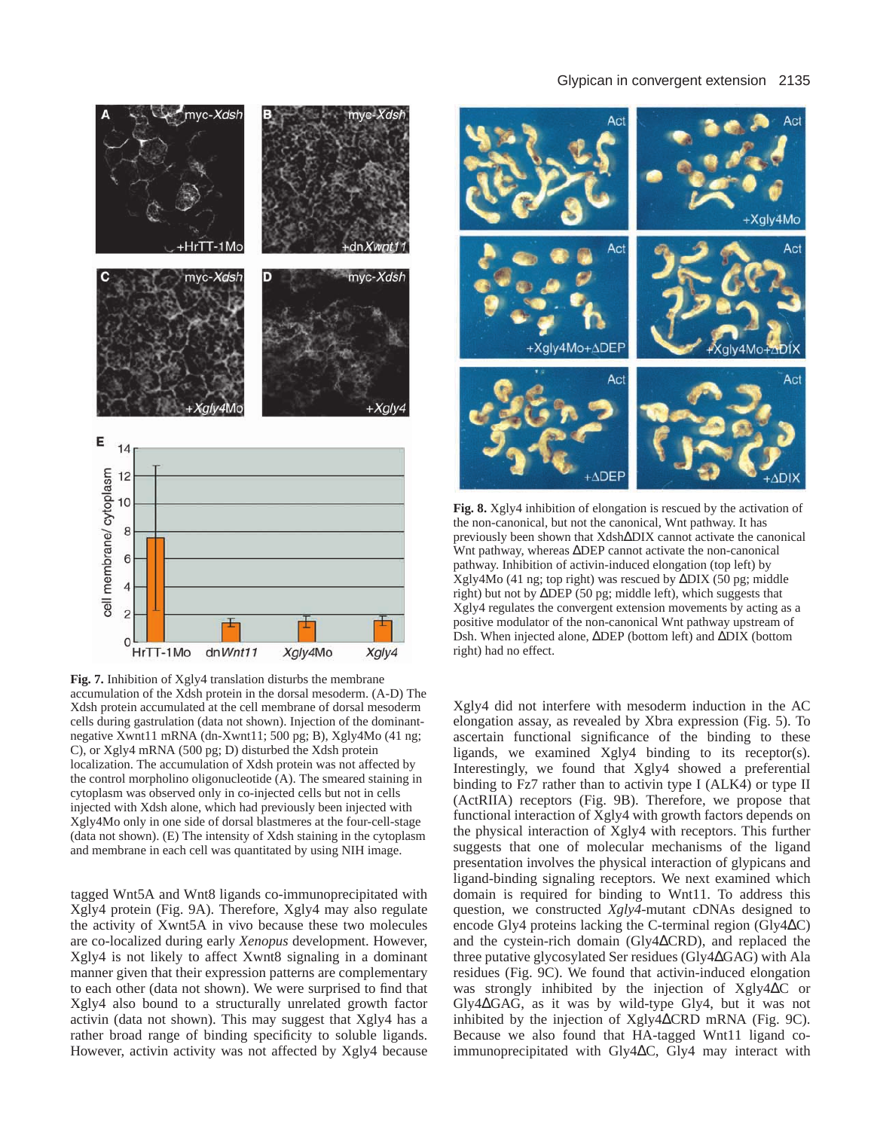# Glypican in convergent extension 2135



**Fig. 7.** Inhibition of Xgly4 translation disturbs the membrane accumulation of the Xdsh protein in the dorsal mesoderm. (A-D) The Xdsh protein accumulated at the cell membrane of dorsal mesoderm cells during gastrulation (data not shown). Injection of the dominantnegative Xwnt11 mRNA (dn-Xwnt11; 500 pg; B), Xgly4Mo (41 ng; C), or Xgly4 mRNA (500 pg; D) disturbed the Xdsh protein localization. The accumulation of Xdsh protein was not affected by the control morpholino oligonucleotide (A). The smeared staining in cytoplasm was observed only in co-injected cells but not in cells injected with Xdsh alone, which had previously been injected with Xgly4Mo only in one side of dorsal blastmeres at the four-cell-stage (data not shown). (E) The intensity of Xdsh staining in the cytoplasm and membrane in each cell was quantitated by using NIH image.

tagged Wnt5A and Wnt8 ligands co-immunoprecipitated with Xgly4 protein (Fig. 9A). Therefore, Xgly4 may also regulate the activity of Xwnt5A in vivo because these two molecules are co-localized during early *Xenopus* development. However, Xgly4 is not likely to affect Xwnt8 signaling in a dominant manner given that their expression patterns are complementary to each other (data not shown). We were surprised to find that Xgly4 also bound to a structurally unrelated growth factor activin (data not shown). This may suggest that Xgly4 has a rather broad range of binding specificity to soluble ligands. However, activin activity was not affected by Xgly4 because



**Fig. 8.** Xgly4 inhibition of elongation is rescued by the activation of the non-canonical, but not the canonical, Wnt pathway. It has previously been shown that Xdsh∆DIX cannot activate the canonical Wnt pathway, whereas ∆DEP cannot activate the non-canonical pathway. Inhibition of activin-induced elongation (top left) by Xgly4Mo (41 ng; top right) was rescued by ∆DIX (50 pg; middle right) but not by ∆DEP (50 pg; middle left), which suggests that Xgly4 regulates the convergent extension movements by acting as a positive modulator of the non-canonical Wnt pathway upstream of Dsh. When injected alone, ∆DEP (bottom left) and ∆DIX (bottom right) had no effect.

Xgly4 did not interfere with mesoderm induction in the AC elongation assay, as revealed by Xbra expression (Fig. 5). To ascertain functional significance of the binding to these ligands, we examined Xgly4 binding to its receptor(s). Interestingly, we found that Xgly4 showed a preferential binding to Fz7 rather than to activin type I (ALK4) or type II (ActRIIA) receptors (Fig. 9B). Therefore, we propose that functional interaction of Xgly4 with growth factors depends on the physical interaction of Xgly4 with receptors. This further suggests that one of molecular mechanisms of the ligand presentation involves the physical interaction of glypicans and ligand-binding signaling receptors. We next examined which domain is required for binding to Wnt11. To address this question, we constructed *Xgly4*-mutant cDNAs designed to encode Gly4 proteins lacking the C-terminal region (Gly4∆C) and the cystein-rich domain (Gly4∆CRD), and replaced the three putative glycosylated Ser residues (Gly4∆GAG) with Ala residues (Fig. 9C). We found that activin-induced elongation was strongly inhibited by the injection of Xgly4∆C or Gly4∆GAG, as it was by wild-type Gly4, but it was not inhibited by the injection of Xgly4∆CRD mRNA (Fig. 9C). Because we also found that HA-tagged Wnt11 ligand coimmunoprecipitated with Gly4∆C, Gly4 may interact with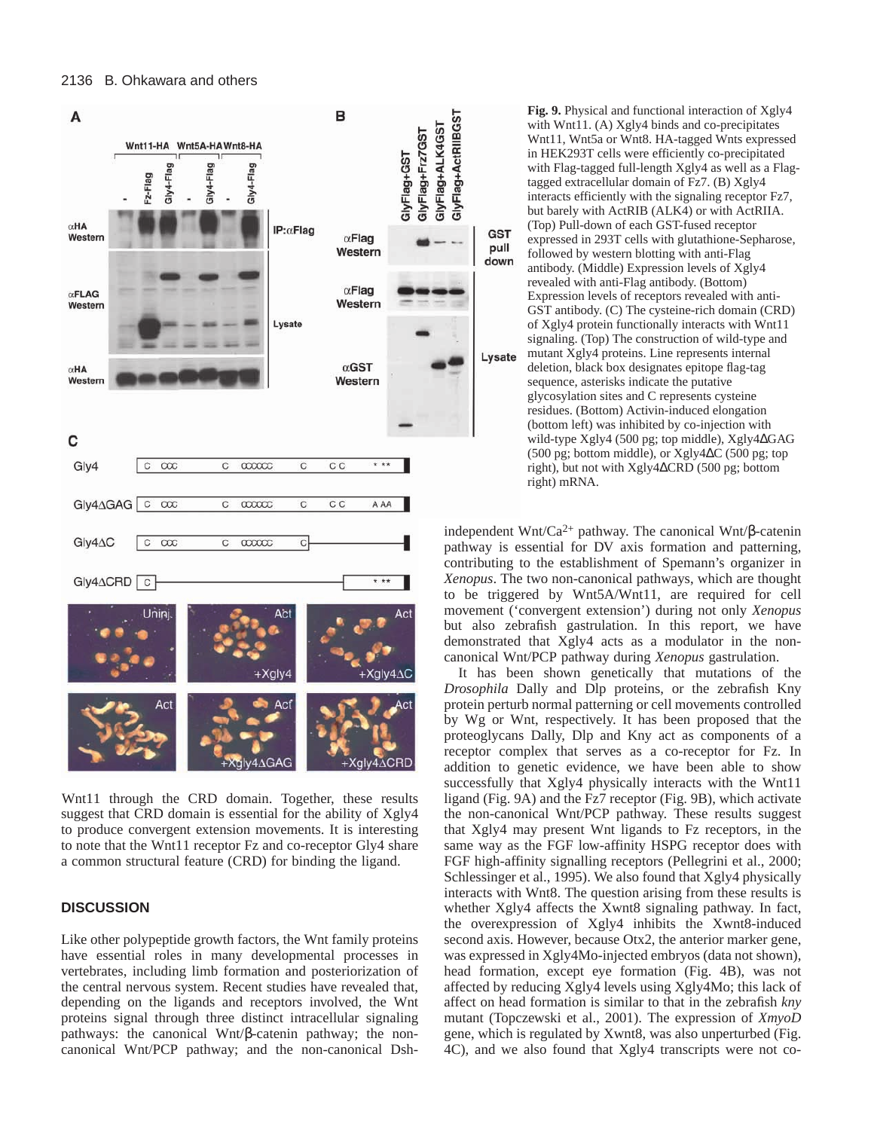

Wnt11 through the CRD domain. Together, these results suggest that CRD domain is essential for the ability of Xgly4 to produce convergent extension movements. It is interesting to note that the Wnt11 receptor Fz and co-receptor Gly4 share a common structural feature (CRD) for binding the ligand.

#### **DISCUSSION**

Like other polypeptide growth factors, the Wnt family proteins have essential roles in many developmental processes in vertebrates, including limb formation and posteriorization of the central nervous system. Recent studies have revealed that, depending on the ligands and receptors involved, the Wnt proteins signal through three distinct intracellular signaling pathways: the canonical Wnt/β-catenin pathway; the noncanonical Wnt/PCP pathway; and the non-canonical Dsh-

**Fig. 9.** Physical and functional interaction of Xgly4 with Wnt11. (A) Xgly4 binds and co-precipitates Wnt11, Wnt5a or Wnt8. HA-tagged Wnts expressed in HEK293T cells were efficiently co-precipitated with Flag-tagged full-length Xgly4 as well as a Flagtagged extracellular domain of Fz7. (B) Xgly4 interacts efficiently with the signaling receptor Fz7, but barely with ActRIB (ALK4) or with ActRIIA. (Top) Pull-down of each GST-fused receptor expressed in 293T cells with glutathione-Sepharose, followed by western blotting with anti-Flag antibody. (Middle) Expression levels of Xgly4 revealed with anti-Flag antibody. (Bottom) Expression levels of receptors revealed with anti-GST antibody. (C) The cysteine-rich domain (CRD) of Xgly4 protein functionally interacts with Wnt11 signaling. (Top) The construction of wild-type and mutant Xgly4 proteins. Line represents internal deletion, black box designates epitope flag-tag sequence, asterisks indicate the putative glycosylation sites and C represents cysteine residues. (Bottom) Activin-induced elongation (bottom left) was inhibited by co-injection with wild-type Xgly4 (500 pg; top middle), Xgly4∆GAG (500 pg; bottom middle), or Xgly4∆C (500 pg; top right), but not with Xgly4∆CRD (500 pg; bottom right) mRNA.

**GST** 

pull

down

Lysate

independent Wnt/Ca<sup>2+</sup> pathway. The canonical Wnt/β-catenin pathway is essential for DV axis formation and patterning, contributing to the establishment of Spemann's organizer in *Xenopus*. The two non-canonical pathways, which are thought to be triggered by Wnt5A/Wnt11, are required for cell movement ('convergent extension') during not only *Xenopus* but also zebrafish gastrulation. In this report, we have demonstrated that Xgly4 acts as a modulator in the noncanonical Wnt/PCP pathway during *Xenopus* gastrulation.

It has been shown genetically that mutations of the *Drosophila* Dally and Dlp proteins, or the zebrafish Kny protein perturb normal patterning or cell movements controlled by Wg or Wnt, respectively. It has been proposed that the proteoglycans Dally, Dlp and Kny act as components of a receptor complex that serves as a co-receptor for Fz. In addition to genetic evidence, we have been able to show successfully that Xgly4 physically interacts with the Wnt11 ligand (Fig. 9A) and the Fz7 receptor (Fig. 9B), which activate the non-canonical Wnt/PCP pathway. These results suggest that Xgly4 may present Wnt ligands to Fz receptors, in the same way as the FGF low-affinity HSPG receptor does with FGF high-affinity signalling receptors (Pellegrini et al., 2000; Schlessinger et al., 1995). We also found that Xgly4 physically interacts with Wnt8. The question arising from these results is whether Xgly4 affects the Xwnt8 signaling pathway. In fact, the overexpression of Xgly4 inhibits the Xwnt8-induced second axis. However, because Otx2, the anterior marker gene, was expressed in Xgly4Mo-injected embryos (data not shown), head formation, except eye formation (Fig. 4B), was not affected by reducing Xgly4 levels using Xgly4Mo; this lack of affect on head formation is similar to that in the zebrafish *kny* mutant (Topczewski et al., 2001). The expression of *XmyoD* gene, which is regulated by Xwnt8, was also unperturbed (Fig. 4C), and we also found that Xgly4 transcripts were not co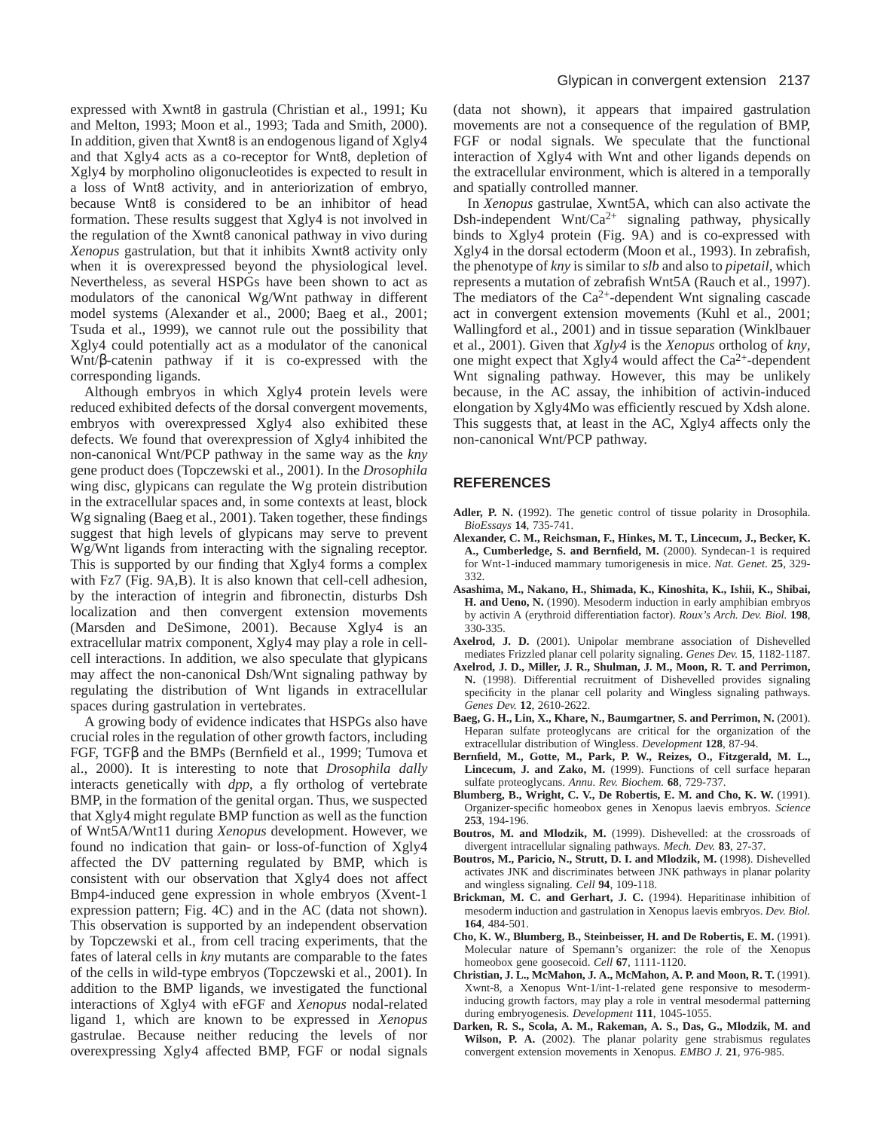expressed with Xwnt8 in gastrula (Christian et al., 1991; Ku and Melton, 1993; Moon et al., 1993; Tada and Smith, 2000). In addition, given that Xwnt8 is an endogenous ligand of Xgly4 and that Xgly4 acts as a co-receptor for Wnt8, depletion of Xgly4 by morpholino oligonucleotides is expected to result in a loss of Wnt8 activity, and in anteriorization of embryo, because Wnt8 is considered to be an inhibitor of head formation. These results suggest that Xgly4 is not involved in the regulation of the Xwnt8 canonical pathway in vivo during *Xenopus* gastrulation, but that it inhibits Xwnt8 activity only when it is overexpressed beyond the physiological level. Nevertheless, as several HSPGs have been shown to act as modulators of the canonical Wg/Wnt pathway in different model systems (Alexander et al., 2000; Baeg et al., 2001; Tsuda et al., 1999), we cannot rule out the possibility that Xgly4 could potentially act as a modulator of the canonical Wnt/β-catenin pathway if it is co-expressed with the corresponding ligands.

Although embryos in which Xgly4 protein levels were reduced exhibited defects of the dorsal convergent movements, embryos with overexpressed Xgly4 also exhibited these defects. We found that overexpression of Xgly4 inhibited the non-canonical Wnt/PCP pathway in the same way as the *kny* gene product does (Topczewski et al., 2001). In the *Drosophila* wing disc, glypicans can regulate the Wg protein distribution in the extracellular spaces and, in some contexts at least, block Wg signaling (Baeg et al., 2001). Taken together, these findings suggest that high levels of glypicans may serve to prevent Wg/Wnt ligands from interacting with the signaling receptor. This is supported by our finding that Xgly4 forms a complex with Fz7 (Fig. 9A,B). It is also known that cell-cell adhesion, by the interaction of integrin and fibronectin, disturbs Dsh localization and then convergent extension movements (Marsden and DeSimone, 2001). Because Xgly4 is an extracellular matrix component, Xgly4 may play a role in cellcell interactions. In addition, we also speculate that glypicans may affect the non-canonical Dsh/Wnt signaling pathway by regulating the distribution of Wnt ligands in extracellular spaces during gastrulation in vertebrates.

A growing body of evidence indicates that HSPGs also have crucial roles in the regulation of other growth factors, including FGF, TGFβ and the BMPs (Bernfield et al., 1999; Tumova et al., 2000). It is interesting to note that *Drosophila dally* interacts genetically with *dpp*, a fly ortholog of vertebrate BMP, in the formation of the genital organ. Thus, we suspected that Xgly4 might regulate BMP function as well as the function of Wnt5A/Wnt11 during *Xenopus* development. However, we found no indication that gain- or loss-of-function of Xgly4 affected the DV patterning regulated by BMP, which is consistent with our observation that Xgly4 does not affect Bmp4-induced gene expression in whole embryos (Xvent-1 expression pattern; Fig. 4C) and in the AC (data not shown). This observation is supported by an independent observation by Topczewski et al., from cell tracing experiments, that the fates of lateral cells in *kny* mutants are comparable to the fates of the cells in wild-type embryos (Topczewski et al., 2001). In addition to the BMP ligands, we investigated the functional interactions of Xgly4 with eFGF and *Xenopus* nodal-related ligand 1, which are known to be expressed in *Xenopus* gastrulae. Because neither reducing the levels of nor overexpressing Xgly4 affected BMP, FGF or nodal signals

(data not shown), it appears that impaired gastrulation movements are not a consequence of the regulation of BMP, FGF or nodal signals. We speculate that the functional interaction of Xgly4 with Wnt and other ligands depends on the extracellular environment, which is altered in a temporally and spatially controlled manner.

In *Xenopus* gastrulae, Xwnt5A, which can also activate the Dsh-independent Wnt/Ca<sup>2+</sup> signaling pathway, physically binds to Xgly4 protein (Fig. 9A) and is co-expressed with Xgly4 in the dorsal ectoderm (Moon et al., 1993). In zebrafish, the phenotype of *kny* is similar to *slb* and also to *pipetail*, which represents a mutation of zebrafish Wnt5A (Rauch et al., 1997). The mediators of the  $Ca^{2+}$ -dependent Wnt signaling cascade act in convergent extension movements (Kuhl et al., 2001; Wallingford et al., 2001) and in tissue separation (Winklbauer et al., 2001). Given that *Xgly4* is the *Xenopus* ortholog of *kny*, one might expect that Xgly4 would affect the  $Ca^{2+}$ -dependent Wnt signaling pathway. However, this may be unlikely because, in the AC assay, the inhibition of activin-induced elongation by Xgly4Mo was efficiently rescued by Xdsh alone. This suggests that, at least in the AC, Xgly4 affects only the non-canonical Wnt/PCP pathway.

# **REFERENCES**

- **Adler, P. N.** (1992). The genetic control of tissue polarity in Drosophila. *BioEssays* **14**, 735-741.
- **Alexander, C. M., Reichsman, F., Hinkes, M. T., Lincecum, J., Becker, K. A., Cumberledge, S. and Bernfield, M.** (2000). Syndecan-1 is required for Wnt-1-induced mammary tumorigenesis in mice. *Nat. Genet.* **25**, 329- 332.
- **Asashima, M., Nakano, H., Shimada, K., Kinoshita, K., Ishii, K., Shibai, H. and Ueno, N.** (1990). Mesoderm induction in early amphibian embryos by activin A (erythroid differentiation factor). *Roux's Arch. Dev. Biol.* **198**, 330-335.
- **Axelrod, J. D.** (2001). Unipolar membrane association of Dishevelled mediates Frizzled planar cell polarity signaling. *Genes Dev.* **15**, 1182-1187.
- **Axelrod, J. D., Miller, J. R., Shulman, J. M., Moon, R. T. and Perrimon, N.** (1998). Differential recruitment of Dishevelled provides signaling specificity in the planar cell polarity and Wingless signaling pathways. *Genes Dev.* **12**, 2610-2622.
- **Baeg, G. H., Lin, X., Khare, N., Baumgartner, S. and Perrimon, N.** (2001). Heparan sulfate proteoglycans are critical for the organization of the extracellular distribution of Wingless. *Development* **128**, 87-94.
- **Bernfield, M., Gotte, M., Park, P. W., Reizes, O., Fitzgerald, M. L., Lincecum, J. and Zako, M.** (1999). Functions of cell surface heparan sulfate proteoglycans. *Annu. Rev. Biochem.* **68**, 729-737.
- **Blumberg, B., Wright, C. V., De Robertis, E. M. and Cho, K. W.** (1991). Organizer-specific homeobox genes in Xenopus laevis embryos. *Science* **253**, 194-196.
- **Boutros, M. and Mlodzik, M.** (1999). Dishevelled: at the crossroads of divergent intracellular signaling pathways. *Mech. Dev.* **83**, 27-37.
- **Boutros, M., Paricio, N., Strutt, D. I. and Mlodzik, M.** (1998). Dishevelled activates JNK and discriminates between JNK pathways in planar polarity and wingless signaling. *Cell* **94**, 109-118.
- **Brickman, M. C. and Gerhart, J. C.** (1994). Heparitinase inhibition of mesoderm induction and gastrulation in Xenopus laevis embryos. *Dev. Biol.* **164**, 484-501.
- **Cho, K. W., Blumberg, B., Steinbeisser, H. and De Robertis, E. M.** (1991). Molecular nature of Spemann's organizer: the role of the Xenopus homeobox gene goosecoid. *Cell* **67**, 1111-1120.
- **Christian, J. L., McMahon, J. A., McMahon, A. P. and Moon, R. T.** (1991). Xwnt-8, a Xenopus Wnt-1/int-1-related gene responsive to mesoderminducing growth factors, may play a role in ventral mesodermal patterning during embryogenesis. *Development* **111**, 1045-1055.
- **Darken, R. S., Scola, A. M., Rakeman, A. S., Das, G., Mlodzik, M. and Wilson, P. A.** (2002). The planar polarity gene strabismus regulates convergent extension movements in Xenopus. *EMBO J.* **21**, 976-985.